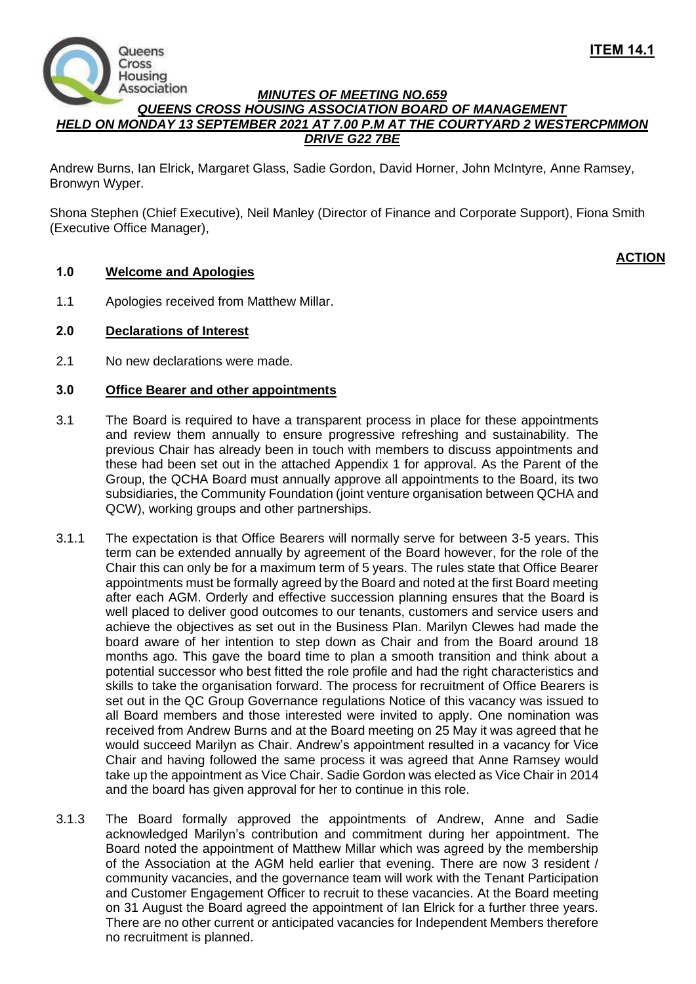

## *MINUTES OF MEETING NO.659 QUEENS CROSS HOUSING ASSOCIATION BOARD OF MANAGEMENT HELD ON MONDAY 13 SEPTEMBER 2021 AT 7.00 P.M AT THE COURTYARD 2 WESTERCPMMON DRIVE G22 7BE*

Andrew Burns, Ian Elrick, Margaret Glass, Sadie Gordon, David Horner, John McIntyre, Anne Ramsey, Bronwyn Wyper.

Shona Stephen (Chief Executive), Neil Manley (Director of Finance and Corporate Support), Fiona Smith (Executive Office Manager),

# **ACTION**

# **1.0 Welcome and Apologies**

1.1 Apologies received from Matthew Millar.

# **2.0 Declarations of Interest**

2.1 No new declarations were made.

## **3.0 Office Bearer and other appointments**

- 3.1 The Board is required to have a transparent process in place for these appointments and review them annually to ensure progressive refreshing and sustainability. The previous Chair has already been in touch with members to discuss appointments and these had been set out in the attached Appendix 1 for approval. As the Parent of the Group, the QCHA Board must annually approve all appointments to the Board, its two subsidiaries, the Community Foundation (joint venture organisation between QCHA and QCW), working groups and other partnerships.
- 3.1.1 The expectation is that Office Bearers will normally serve for between 3-5 years. This term can be extended annually by agreement of the Board however, for the role of the Chair this can only be for a maximum term of 5 years. The rules state that Office Bearer appointments must be formally agreed by the Board and noted at the first Board meeting after each AGM. Orderly and effective succession planning ensures that the Board is well placed to deliver good outcomes to our tenants, customers and service users and achieve the objectives as set out in the Business Plan. Marilyn Clewes had made the board aware of her intention to step down as Chair and from the Board around 18 months ago. This gave the board time to plan a smooth transition and think about a potential successor who best fitted the role profile and had the right characteristics and skills to take the organisation forward. The process for recruitment of Office Bearers is set out in the QC Group Governance regulations Notice of this vacancy was issued to all Board members and those interested were invited to apply. One nomination was received from Andrew Burns and at the Board meeting on 25 May it was agreed that he would succeed Marilyn as Chair. Andrew's appointment resulted in a vacancy for Vice Chair and having followed the same process it was agreed that Anne Ramsey would take up the appointment as Vice Chair. Sadie Gordon was elected as Vice Chair in 2014 and the board has given approval for her to continue in this role.
- 3.1.3 The Board formally approved the appointments of Andrew, Anne and Sadie acknowledged Marilyn's contribution and commitment during her appointment. The Board noted the appointment of Matthew Millar which was agreed by the membership of the Association at the AGM held earlier that evening. There are now 3 resident / community vacancies, and the governance team will work with the Tenant Participation and Customer Engagement Officer to recruit to these vacancies. At the Board meeting on 31 August the Board agreed the appointment of Ian Elrick for a further three years. There are no other current or anticipated vacancies for Independent Members therefore no recruitment is planned.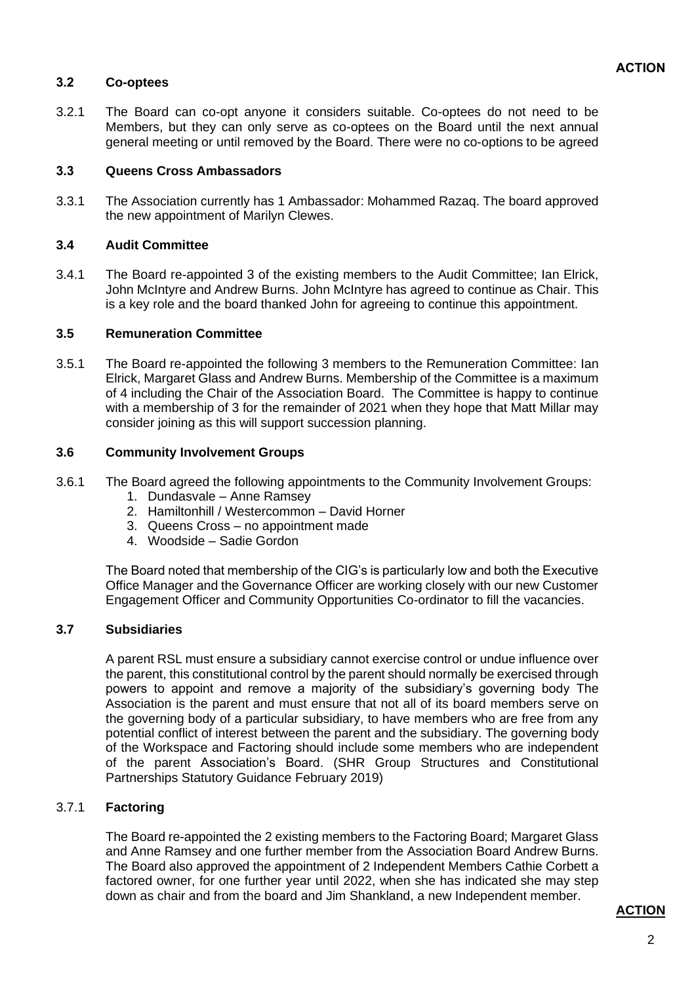#### **3.2 Co-optees**

3.2.1 The Board can co-opt anyone it considers suitable. Co-optees do not need to be Members, but they can only serve as co-optees on the Board until the next annual general meeting or until removed by the Board. There were no co-options to be agreed

#### **3.3 Queens Cross Ambassadors**

3.3.1 The Association currently has 1 Ambassador: Mohammed Razaq. The board approved the new appointment of Marilyn Clewes.

### **3.4 Audit Committee**

3.4.1 The Board re-appointed 3 of the existing members to the Audit Committee; Ian Elrick, John McIntyre and Andrew Burns. John McIntyre has agreed to continue as Chair. This is a key role and the board thanked John for agreeing to continue this appointment.

### **3.5 Remuneration Committee**

3.5.1 The Board re-appointed the following 3 members to the Remuneration Committee: Ian Elrick, Margaret Glass and Andrew Burns. Membership of the Committee is a maximum of 4 including the Chair of the Association Board. The Committee is happy to continue with a membership of 3 for the remainder of 2021 when they hope that Matt Millar may consider joining as this will support succession planning.

#### **3.6 Community Involvement Groups**

- 3.6.1 The Board agreed the following appointments to the Community Involvement Groups:
	- 1. Dundasvale Anne Ramsey
	- 2. Hamiltonhill / Westercommon David Horner
	- 3. Queens Cross no appointment made
	- 4. Woodside Sadie Gordon

The Board noted that membership of the CIG's is particularly low and both the Executive Office Manager and the Governance Officer are working closely with our new Customer Engagement Officer and Community Opportunities Co-ordinator to fill the vacancies.

#### **3.7 Subsidiaries**

A parent RSL must ensure a subsidiary cannot exercise control or undue influence over the parent, this constitutional control by the parent should normally be exercised through powers to appoint and remove a majority of the subsidiary's governing body The Association is the parent and must ensure that not all of its board members serve on the governing body of a particular subsidiary, to have members who are free from any potential conflict of interest between the parent and the subsidiary. The governing body of the Workspace and Factoring should include some members who are independent of the parent Association's Board. (SHR Group Structures and Constitutional Partnerships Statutory Guidance February 2019)

## 3.7.1 **Factoring**

The Board re-appointed the 2 existing members to the Factoring Board; Margaret Glass and Anne Ramsey and one further member from the Association Board Andrew Burns. The Board also approved the appointment of 2 Independent Members Cathie Corbett a factored owner, for one further year until 2022, when she has indicated she may step down as chair and from the board and Jim Shankland, a new Independent member.

#### **ACTION**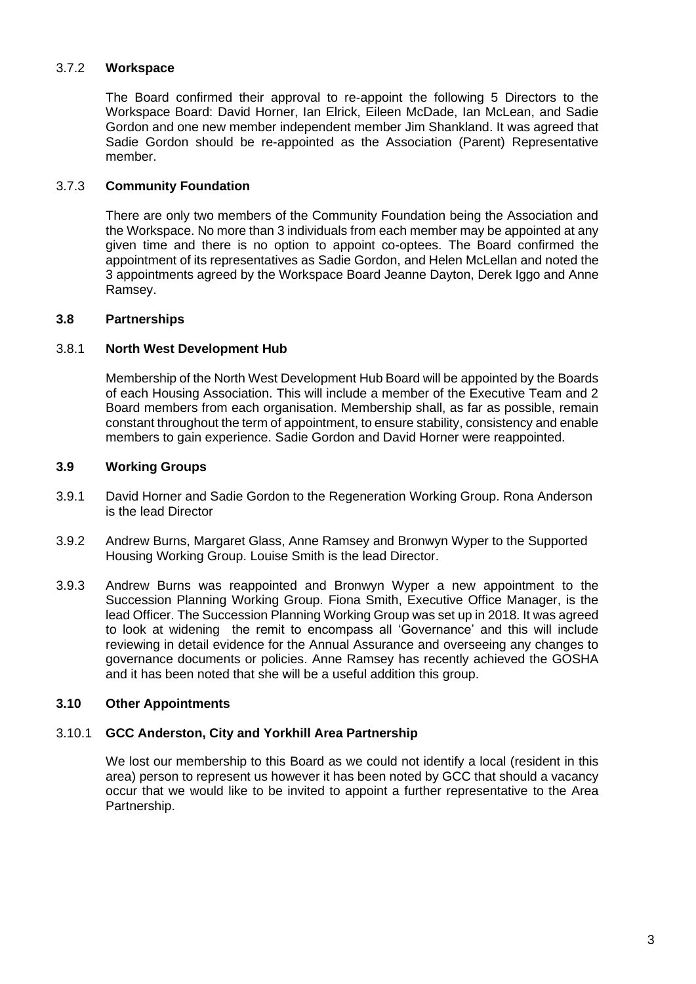# 3.7.2 **Workspace**

The Board confirmed their approval to re-appoint the following 5 Directors to the Workspace Board: David Horner, Ian Elrick, Eileen McDade, Ian McLean, and Sadie Gordon and one new member independent member Jim Shankland. It was agreed that Sadie Gordon should be re-appointed as the Association (Parent) Representative member.

# 3.7.3 **Community Foundation**

There are only two members of the Community Foundation being the Association and the Workspace. No more than 3 individuals from each member may be appointed at any given time and there is no option to appoint co-optees. The Board confirmed the appointment of its representatives as Sadie Gordon, and Helen McLellan and noted the 3 appointments agreed by the Workspace Board Jeanne Dayton, Derek Iggo and Anne Ramsey.

# **3.8 Partnerships**

# 3.8.1 **North West Development Hub**

Membership of the North West Development Hub Board will be appointed by the Boards of each Housing Association. This will include a member of the Executive Team and 2 Board members from each organisation. Membership shall, as far as possible, remain constant throughout the term of appointment, to ensure stability, consistency and enable members to gain experience. Sadie Gordon and David Horner were reappointed.

## **3.9 Working Groups**

- 3.9.1 David Horner and Sadie Gordon to the Regeneration Working Group. Rona Anderson is the lead Director
- 3.9.2 Andrew Burns, Margaret Glass, Anne Ramsey and Bronwyn Wyper to the Supported Housing Working Group. Louise Smith is the lead Director.
- 3.9.3 Andrew Burns was reappointed and Bronwyn Wyper a new appointment to the Succession Planning Working Group. Fiona Smith, Executive Office Manager, is the lead Officer. The Succession Planning Working Group was set up in 2018. It was agreed to look at widening the remit to encompass all 'Governance' and this will include reviewing in detail evidence for the Annual Assurance and overseeing any changes to governance documents or policies. Anne Ramsey has recently achieved the GOSHA and it has been noted that she will be a useful addition this group.

## **3.10 Other Appointments**

## 3.10.1 **GCC Anderston, City and Yorkhill Area Partnership**

We lost our membership to this Board as we could not identify a local (resident in this area) person to represent us however it has been noted by GCC that should a vacancy occur that we would like to be invited to appoint a further representative to the Area Partnership.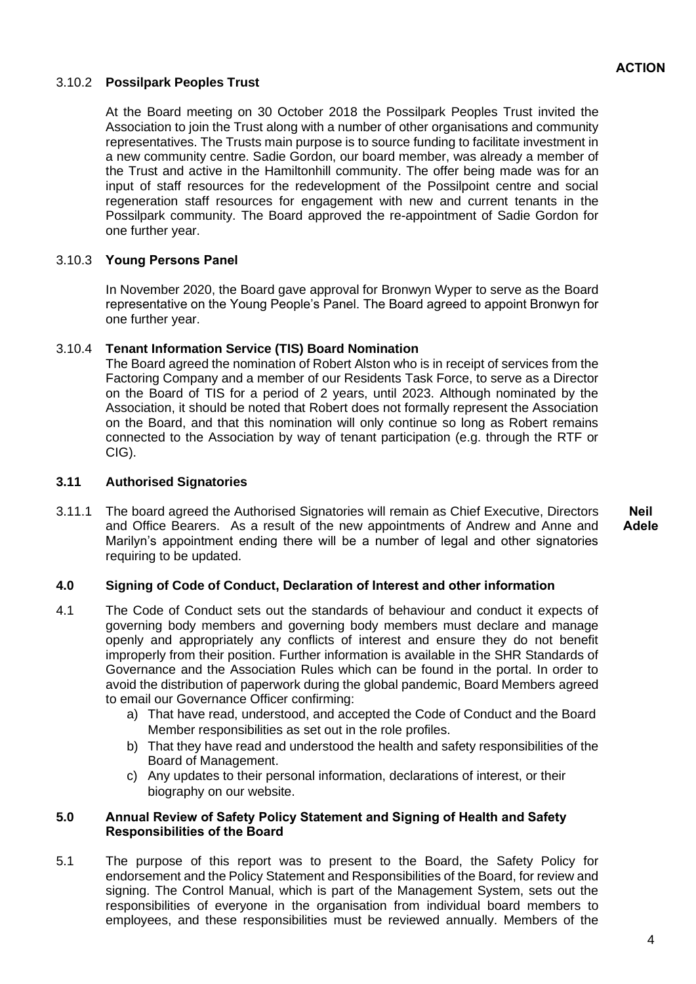## 3.10.2 **Possilpark Peoples Trust**

At the Board meeting on 30 October 2018 the Possilpark Peoples Trust invited the Association to join the Trust along with a number of other organisations and community representatives. The Trusts main purpose is to source funding to facilitate investment in a new community centre. Sadie Gordon, our board member, was already a member of the Trust and active in the Hamiltonhill community. The offer being made was for an input of staff resources for the redevelopment of the Possilpoint centre and social regeneration staff resources for engagement with new and current tenants in the Possilpark community. The Board approved the re-appointment of Sadie Gordon for one further year.

## 3.10.3 **Young Persons Panel**

In November 2020, the Board gave approval for Bronwyn Wyper to serve as the Board representative on the Young People's Panel. The Board agreed to appoint Bronwyn for one further year.

#### 3.10.4 **Tenant Information Service (TIS) Board Nomination**

The Board agreed the nomination of Robert Alston who is in receipt of services from the Factoring Company and a member of our Residents Task Force, to serve as a Director on the Board of TIS for a period of 2 years, until 2023. Although nominated by the Association, it should be noted that Robert does not formally represent the Association on the Board, and that this nomination will only continue so long as Robert remains connected to the Association by way of tenant participation (e.g. through the RTF or CIG).

### **3.11 Authorised Signatories**

3.11.1 The board agreed the Authorised Signatories will remain as Chief Executive, Directors and Office Bearers. As a result of the new appointments of Andrew and Anne and Marilyn's appointment ending there will be a number of legal and other signatories requiring to be updated. **Neil Adele** 

## **4.0 Signing of Code of Conduct, Declaration of Interest and other information**

- 4.1 The Code of Conduct sets out the standards of behaviour and conduct it expects of governing body members and governing body members must declare and manage openly and appropriately any conflicts of interest and ensure they do not benefit improperly from their position. Further information is available in the SHR Standards of Governance and the Association Rules which can be found in the portal. In order to avoid the distribution of paperwork during the global pandemic, Board Members agreed to email our Governance Officer confirming:
	- a) That have read, understood, and accepted the Code of Conduct and the Board Member responsibilities as set out in the role profiles.
	- b) That they have read and understood the health and safety responsibilities of the Board of Management.
	- c) Any updates to their personal information, declarations of interest, or their biography on our website.

#### **5.0 Annual Review of Safety Policy Statement and Signing of Health and Safety Responsibilities of the Board**

5.1 The purpose of this report was to present to the Board, the Safety Policy for endorsement and the Policy Statement and Responsibilities of the Board, for review and signing. The Control Manual, which is part of the Management System, sets out the responsibilities of everyone in the organisation from individual board members to employees, and these responsibilities must be reviewed annually. Members of the